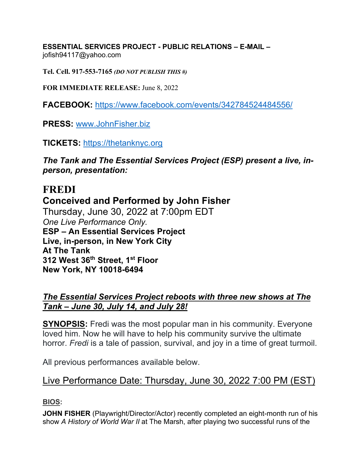**ESSENTIAL SERVICES PROJECT - PUBLIC RELATIONS – E-MAIL –**  jofish94117@yahoo.com

**Tel. Cell. 917-553-7165** *(DO NOT PUBLISH THIS #)*

**FOR IMMEDIATE RELEASE:** June 8, 2022

**FACEBOOK:** https://www.facebook.com/events/342784524484556/

**PRESS:** www.JohnFisher.biz

**TICKETS:** https://thetanknyc.org

*The Tank and The Essential Services Project (ESP) present a live, inperson, presentation:*

# **FREDI Conceived and Performed by John Fisher**  Thursday, June 30, 2022 at 7:00pm EDT *One Live Performance Only.* **ESP – An Essential Services Project Live, in-person, in New York City At The Tank 312 West 36th Street, 1st Floor New York, NY 10018-6494**

# *The Essential Services Project reboots with three new shows at The Tank – June 30, July 14, and July 28!*

**SYNOPSIS:** Fredi was the most popular man in his community. Everyone loved him. Now he will have to help his community survive the ultimate horror. *Fredi* is a tale of passion, survival, and joy in a time of great turmoil.

All previous performances available below.

# Live Performance Date: Thursday, June 30, 2022 7:00 PM (EST)

**BIOS:**

**JOHN FISHER** (Playwright/Director/Actor) recently completed an eight-month run of his show *A History of World War II* at The Marsh, after playing two successful runs of the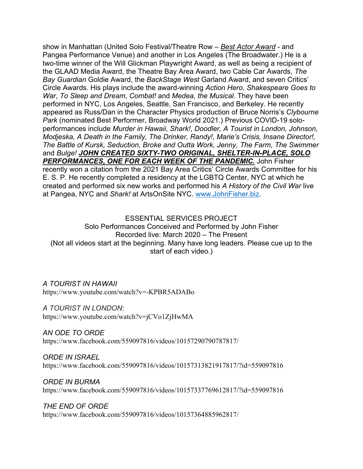show in Manhattan (United Solo Festival/Theatre Row – *Best Actor Award* - and Pangea Performance Venue) and another in Los Angeles (The Broadwater.) He is a two-time winner of the Will Glickman Playwright Award, as well as being a recipient of the GLAAD Media Award, the Theatre Bay Area Award, two Cable Car Awards, *The Bay Guardian* Goldie Award, the *BackStage West* Garland Award, and seven Critics' Circle Awards. His plays include the award-winning *Action Hero*, *Shakespeare Goes to War*, *To Sleep and Dream*, *Combat!* and *Medea, the Musical*. They have been performed in NYC, Los Angeles, Seattle, San Francisco, and Berkeley. He recently appeared as Russ/Dan in the Character Physics production of Bruce Norris's *Clybourne Park* (nominated Best Performer, Broadway World 2021.) Previous COVID-19 soloperformances include *Murder in Hawaii*, *Shark!*, *Doodler, A Tourist in London, Johnson, Modjeska, A Death in the Family, The Drinker, Randy!*, *Marie's Crisis, Insane Director!, The Battle of Kursk, Seduction, Broke and Outta Work, Jenny, The Farm, The Swimmer*  and *Bulge! JOHN CREATED SIXTY-TWO ORIGINAL, SHELTER-IN-PLACE, SOLO PERFORMANCES, ONE FOR EACH WEEK OF THE PANDEMIC.* John Fisher recently won a citation from the 2021 Bay Area Critics' Circle Awards Committee for his E. S. P. He recently completed a residency at the LGBTQ Center, NYC at which he created and performed six new works and performed his *A History of the Civil War* live at Pangea, NYC and *Shark!* at ArtsOnSite NYC. www.JohnFisher.biz.

# ESSENTIAL SERVICES PROJECT Solo Performances Conceived and Performed by John Fisher Recorded live: March 2020 – The Present (Not all videos start at the beginning. Many have long leaders. Please cue up to the start of each video.)

### *A TOURIST IN HAWAII*

https://www.youtube.com/watch?v=-KPBR5ADABo

*A TOURIST IN LONDON*:

https://www.youtube.com/watch?v=jCVo1ZjHwMA

*AN ODE TO ORDE* https://www.facebook.com/559097816/videos/10157290790787817/

*ORDE IN ISRAEL* https://www.facebook.com/559097816/videos/10157313821917817/?id=559097816

*ORDE IN BURMA* https://www.facebook.com/559097816/videos/10157337769612817/?id=559097816

*THE END OF ORDE* https://www.facebook.com/559097816/videos/10157364885962817/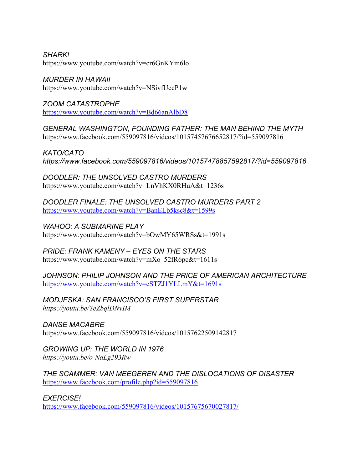*SHARK!* https://www.youtube.com/watch?v=cr6GnKYm6lo

*MURDER IN HAWAII* https://www.youtube.com/watch?v=NSivfUccP1w

*ZOOM CATASTROPHE* https://www.youtube.com/watch?v=Bd66anAlbD8

*GENERAL WASHINGTON, FOUNDING FATHER: THE MAN BEHIND THE MYTH* https://www.facebook.com/559097816/videos/10157457676652817/?id=559097816

*KATO/CATO https://www.facebook.com/559097816/videos/10157478857592817/?id=559097816*

*DOODLER: THE UNSOLVED CASTRO MURDERS* https://www.youtube.com/watch?v=LnVhKX0RHuA&t=1236s

*DOODLER FINALE: THE UNSOLVED CASTRO MURDERS PART 2* https://www.youtube.com/watch?v=BanELb5ksc8&t=1599s

*WAHOO: A SUBMARINE PLAY* https://www.youtube.com/watch?v=bOwMY65WRSs&t=1991s

*PRIDE: FRANK KAMENY – EYES ON THE STARS* https://www.youtube.com/watch?v=mXo\_52fR6pc&t=1611s

*JOHNSON: PHILIP JOHNSON AND THE PRICE OF AMERICAN ARCHITECTURE* https://www.youtube.com/watch?v=eSTZJ1YLLmY&t=1691s

*MODJESKA: SAN FRANCISCO'S FIRST SUPERSTAR https://youtu.be/YeZbqlDNvIM*

*DANSE MACABRE* https://www.facebook.com/559097816/videos/10157622509142817

*GROWING UP: THE WORLD IN 1976 https://youtu.be/o-NaLg293Rw*

*THE SCAMMER: VAN MEEGEREN AND THE DISLOCATIONS OF DISASTER* https://www.facebook.com/profile.php?id=559097816

*EXERCISE!* https://www.facebook.com/559097816/videos/10157675670027817/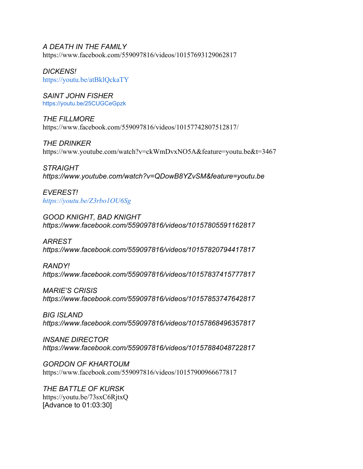#### *A DEATH IN THE FAMILY*

https://www.facebook.com/559097816/videos/10157693129062817

*DICKENS!* https://youtu.be/atBklQckaTY

*SAINT JOHN FISHER* https://youtu.be/25CUGCeGpzk

*THE FILLMORE* https://www.facebook.com/559097816/videos/10157742807512817/

*THE DRINKER* https://www.youtube.com/watch?v=ckWmDvxNO5A&feature=youtu.be&t=3467

*STRAIGHT https://www.youtube.com/watch?v=QDowB8YZvSM&feature=youtu.be*

*EVEREST! https://youtu.be/Z3rbo1OU6Sg*

*GOOD KNIGHT, BAD KNIGHT https://www.facebook.com/559097816/videos/10157805591162817*

*ARREST https://www.facebook.com/559097816/videos/10157820794417817*

*RANDY! https://www.facebook.com/559097816/videos/10157837415777817*

*MARIE'S CRISIS https://www.facebook.com/559097816/videos/10157853747642817*

*BIG ISLAND https://www.facebook.com/559097816/videos/10157868496357817*

*INSANE DIRECTOR https://www.facebook.com/559097816/videos/10157884048722817*

*GORDON OF KHARTOUM* https://www.facebook.com/559097816/videos/10157900966677817

*THE BATTLE OF KURSK* https://youtu.be/73sxC6RjtxQ [Advance to 01:03:30]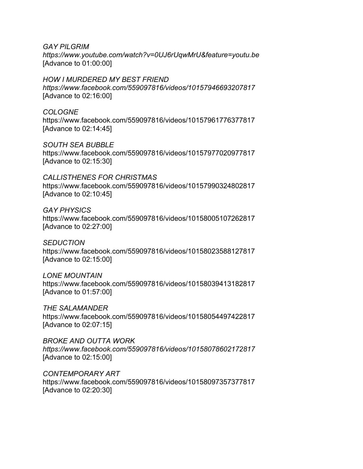*GAY PILGRIM*

*https://www.youtube.com/watch?v=0UJ6rUqwMrU&feature=youtu.be* [Advance to 01:00:00]

#### *HOW I MURDERED MY BEST FRIEND*

*https://www.facebook.com/559097816/videos/10157946693207817* [Advance to 02:16:00]

### *COLOGNE*

https://www.facebook.com/559097816/videos/10157961776377817 [Advance to 02:14:45]

### *SOUTH SEA BUBBLE*

https://www.facebook.com/559097816/videos/10157977020977817 [Advance to 02:15:30]

### *CALLISTHENES FOR CHRISTMAS*

https://www.facebook.com/559097816/videos/10157990324802817 [Advance to 02:10:45]

## *GAY PHYSICS*

https://www.facebook.com/559097816/videos/10158005107262817 [Advance to 02:27:00]

### *SEDUCTION*

https://www.facebook.com/559097816/videos/10158023588127817 [Advance to 02:15:00]

### *LONE MOUNTAIN*

https://www.facebook.com/559097816/videos/10158039413182817 [Advance to 01:57:00]

### *THE SALAMANDER*

https://www.facebook.com/559097816/videos/10158054497422817 [Advance to 02:07:15]

### *BROKE AND OUTTA WORK*

*https://www.facebook.com/559097816/videos/10158078602172817* [Advance to 02:15:00]

### *CONTEMPORARY ART*

https://www.facebook.com/559097816/videos/10158097357377817 [Advance to 02:20:30]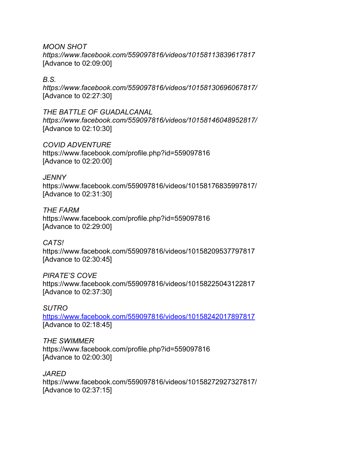*MOON SHOT https://www.facebook.com/559097816/videos/10158113839617817* [Advance to 02:09:00]

## *B.S.*

*https://www.facebook.com/559097816/videos/10158130696067817/* [Advance to 02:27:30]

# *THE BATTLE OF GUADALCANAL*

*https://www.facebook.com/559097816/videos/10158146048952817/* [Advance to 02:10:30]

### *COVID ADVENTURE*

https://www.facebook.com/profile.php?id=559097816 [Advance to 02:20:00]

## *JENNY*

https://www.facebook.com/559097816/videos/10158176835997817/ [Advance to 02:31:30]

### *THE FARM*

https://www.facebook.com/profile.php?id=559097816 [Advance to 02:29:00]

#### *CATS!*

https://www.facebook.com/559097816/videos/10158209537797817 [Advance to 02:30:45]

### *PIRATE'S COVE*

https://www.facebook.com/559097816/videos/10158225043122817 [Advance to 02:37:30]

#### *SUTRO*

https://www.facebook.com/559097816/videos/10158242017897817 [Advance to 02:18:45]

#### *THE SWIMMER*

https://www.facebook.com/profile.php?id=559097816 [Advance to 02:00:30]

#### *JARED*

https://www.facebook.com/559097816/videos/10158272927327817/ [Advance to 02:37:15]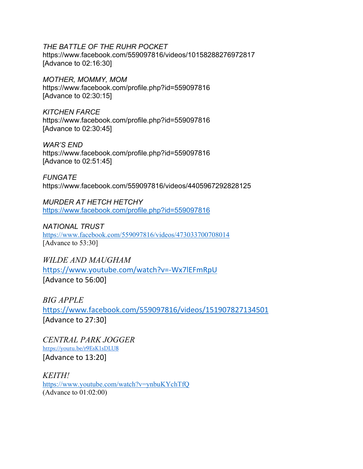### *THE BATTLE OF THE RUHR POCKET*

https://www.facebook.com/559097816/videos/10158288276972817 [Advance to 02:16:30]

*MOTHER, MOMMY, MOM* https://www.facebook.com/profile.php?id=559097816 [Advance to 02:30:15]

*KITCHEN FARCE* https://www.facebook.com/profile.php?id=559097816 [Advance to 02:30:45]

*WAR'S END* https://www.facebook.com/profile.php?id=559097816 [Advance to 02:51:45]

*FUNGATE* https://www.facebook.com/559097816/videos/4405967292828125

*MURDER AT HETCH HETCHY* https://www.facebook.com/profile.php?id=559097816

*NATIONAL TRUST*  https://www.facebook.com/559097816/videos/473033700708014 [Advance to 53:30]

*WILDE AND MAUGHAM*  https://www.youtube.com/watch?v=‐Wx7lEFmRpU [Advance to 56:00]

*BIG APPLE*  https://www.facebook.com/559097816/videos/151907827134501 [Advance to 27:30]

*CENTRAL PARK JOGGER*  https://youtu.be/r9EsK1sDLU8 [Advance to 13:20]

*KEITH!*  https://www.youtube.com/watch?v=ynbuKYchTfQ (Advance to 01:02:00)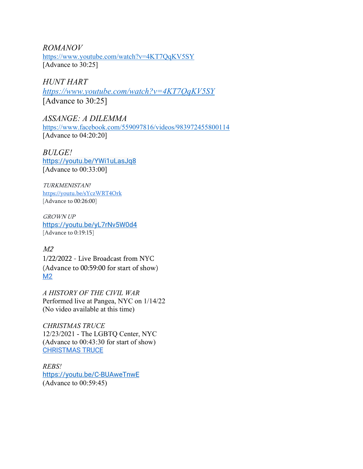*ROMANOV*  https://www.youtube.com/watch?v=4KT7QqKV5SY [Advance to 30:25]

*HUNT HART https://www.youtube.com/watch?v=4KT7QqKV5SY*  [Advance to 30:25]

*ASSANGE: A DILEMMA*  https://www.facebook.com/559097816/videos/983972455800114 [Advance to 04:20:20]

*BULGE!*  https://youtu.be/YWi1uLasJq8 [Advance to 00:33:00]

TURKMENISTAN! https://youtu.be/sYczWRT4Ork [Advance to 00:26:00]

GROWN UP https://youtu.be/yL7rNv5W0d4 [Advance to 0:19:15]

 $M<sub>2</sub>$ 1/22/2022 - Live Broadcast from NYC (Advance to 00:59:00 for start of show) M2

*A HISTORY OF THE CIVIL WAR*  Performed live at Pangea, NYC on 1/14/22 (No video available at this time)

*CHRISTMAS TRUCE*  12/23/2021 - The LGBTQ Center, NYC (Advance to 00:43:30 for start of show) CHRISTMAS TRUCE

*REBS!*  https://youtu.be/C-BUAweTnwE (Advance to 00:59:45)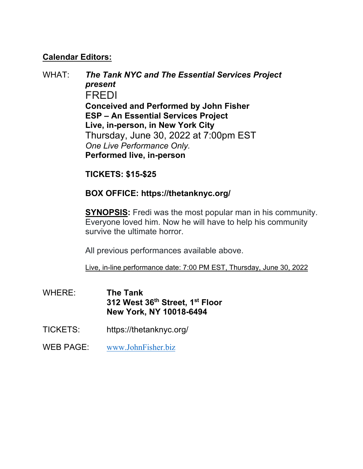# **Calendar Editors:**

WHAT: *The Tank NYC and The Essential Services Project present*  FREDI **Conceived and Performed by John Fisher ESP – An Essential Services Project Live, in-person, in New York City**  Thursday, June 30, 2022 at 7:00pm EST *One Live Performance Only.* **Performed live, in-person** 

**TICKETS: \$15-\$25** 

# **BOX OFFICE: https://thetanknyc.org/**

**SYNOPSIS:** Fredi was the most popular man in his community. Everyone loved him. Now he will have to help his community survive the ultimate horror.

All previous performances available above.

Live, in-line performance date: 7:00 PM EST, Thursday, June 30, 2022

- WHERE: **The Tank 312 West 36th Street, 1st Floor New York, NY 10018-6494**
- TICKETS: https://thetanknyc.org/
- WEB PAGE: www.JohnFisher.biz